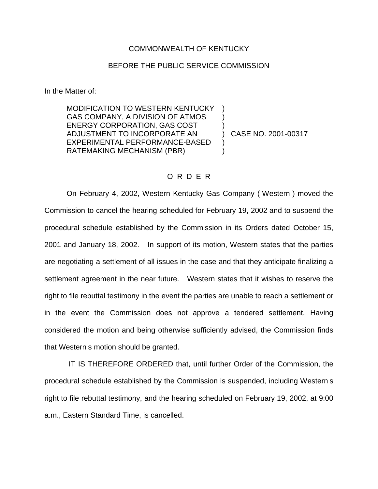## COMMONWEALTH OF KENTUCKY

## BEFORE THE PUBLIC SERVICE COMMISSION

In the Matter of:

MODIFICATION TO WESTERN KENTUCKY GAS COMPANY, A DIVISION OF ATMOS ENERGY CORPORATION, GAS COST ) ADJUSTMENT TO INCORPORATE AN ) CASE NO. 2001-00317 EXPERIMENTAL PERFORMANCE-BASED ) RATEMAKING MECHANISM (PBR)  $(1)$ 

## O R D E R

On February 4, 2002, Western Kentucky Gas Company ( Western ) moved the Commission to cancel the hearing scheduled for February 19, 2002 and to suspend the procedural schedule established by the Commission in its Orders dated October 15, 2001 and January 18, 2002. In support of its motion, Western states that the parties are negotiating a settlement of all issues in the case and that they anticipate finalizing a settlement agreement in the near future. Western states that it wishes to reserve the right to file rebuttal testimony in the event the parties are unable to reach a settlement or in the event the Commission does not approve a tendered settlement. Having considered the motion and being otherwise sufficiently advised, the Commission finds that Western s motion should be granted.

IT IS THEREFORE ORDERED that, until further Order of the Commission, the procedural schedule established by the Commission is suspended, including Western s right to file rebuttal testimony, and the hearing scheduled on February 19, 2002, at 9:00 a.m., Eastern Standard Time, is cancelled.